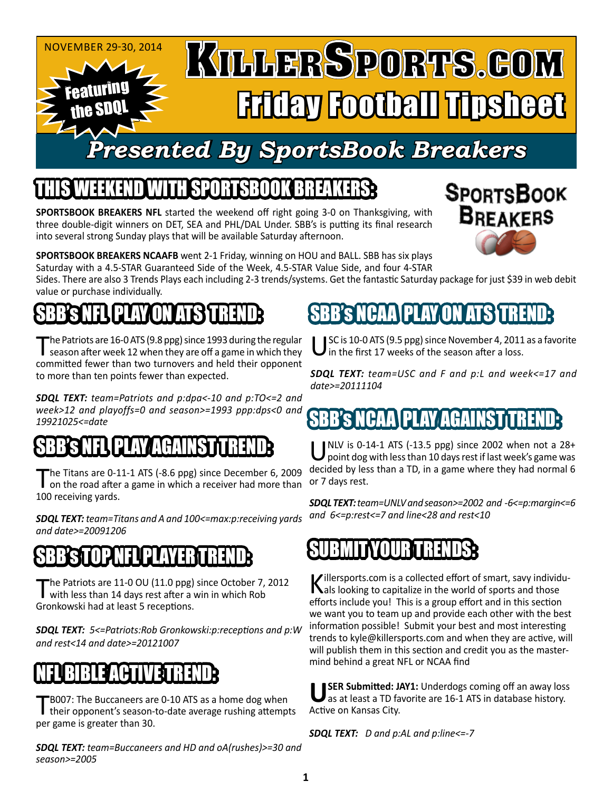

# *Presented By SportsBook Breakers*

### THIS WEEKEND WITH SPORTSBOOK BREAKERS:

**SPORTSBOOK BREAKERS NFL** started the weekend off right going 3-0 on Thanksgiving, with three double-digit winners on DET, SEA and PHL/DAL Under. SBB's is putting its final research into several strong Sunday plays that will be available Saturday afternoon.



**SPORTSBOOK BREAKERS NCAAFB** went 2-1 Friday, winning on HOU and BALL. SBB has six plays Saturday with a 4.5-STAR Guaranteed Side of the Week, 4.5-STAR Value Side, and four 4-STAR

Sides. There are also 3 Trends Plays each including 2-3 trends/systems. Get the fantastic Saturday package for just \$39 in web debit value or purchase individually.

## 'S NFLIPLAY ON ATSYTREND:

The Patriots are 16-0 ATS (9.8 ppg) since 1993 during the regular<br>season after week 12 when they are off a game in which they committed fewer than two turnovers and held their opponent to more than ten points fewer than expected.

*SDQL TEXT: team=Patriots and p:dpa<-10 and p:TO<=2 and week>12 and playoffs=0 and season>=1993 ppp:dps<0 and 19921025<=date*

### R'S NFLUPLAY AGA

The Titans are 0-11-1 ATS (-8.6 ppg) since December 6, 2009<br>
on the road after a game in which a receiver had more than 100 receiving yards.

*SDQL TEXT: team=Titans and A and 100<=max:p:receiving yards and date>=20091206*

#### SIN PLAYER TREND

The Patriots are 11-0 OU (11.0 ppg) since October 7, 2012<br>with less than 14 days rest after a win in which Rob Gronkowski had at least 5 receptions.

*SDQL TEXT: 5<=Patriots:Rob Gronkowski:p:receptions and p:W and rest<14 and date>=20121007*

### RIBLE ACTIVITY

TB007: The Buccaneers are 0-10 ATS as a home dog when<br>their opponent's season-to-date average rushing attempts per game is greater than 30.

*SDQL TEXT: team=Buccaneers and HD and oA(rushes)>=30 and season>=2005*

### SBB's NCAA PLAY ON ATS TREND:

SC is 10-0 ATS (9.5 ppg) since November 4, 2011 as a favorite In the first 17 weeks of the season after a loss.

*SDQL TEXT: team=USC and F and p:L and week<=17 and date>=20111104*

### BB'S NCAAIPLAY AGAINSTT

UNLV is 0-14-1 ATS (-13.5 ppg) since 2002 when not a 28+<br>point dog with less than 10 days rest if last week's game was decided by less than a TD, in a game where they had normal 6 or 7 days rest.

*SDQL TEXT: team=UNLV and season>=2002 and -6<=p:margin<=6 and 6<=p:rest<=7 and line<28 and rest<10*

#### SUBMITYOURTRENDS:

Killersports.com is a collected effort of smart, savy individu-<br>
als looking to capitalize in the world of sports and those efforts include you! This is a group effort and in this section we want you to team up and provide each other with the best information possible! Submit your best and most interesting trends to kyle@killersports.com and when they are active, will will publish them in this section and credit you as the mastermind behind a great NFL or NCAA find

**SER Submitted: JAY1: Underdogs coming off an away loss** as at least a TD favorite are 16-1 ATS in database history. Active on Kansas City.

*SDQL TEXT: D and p:AL and p:line<=-7*